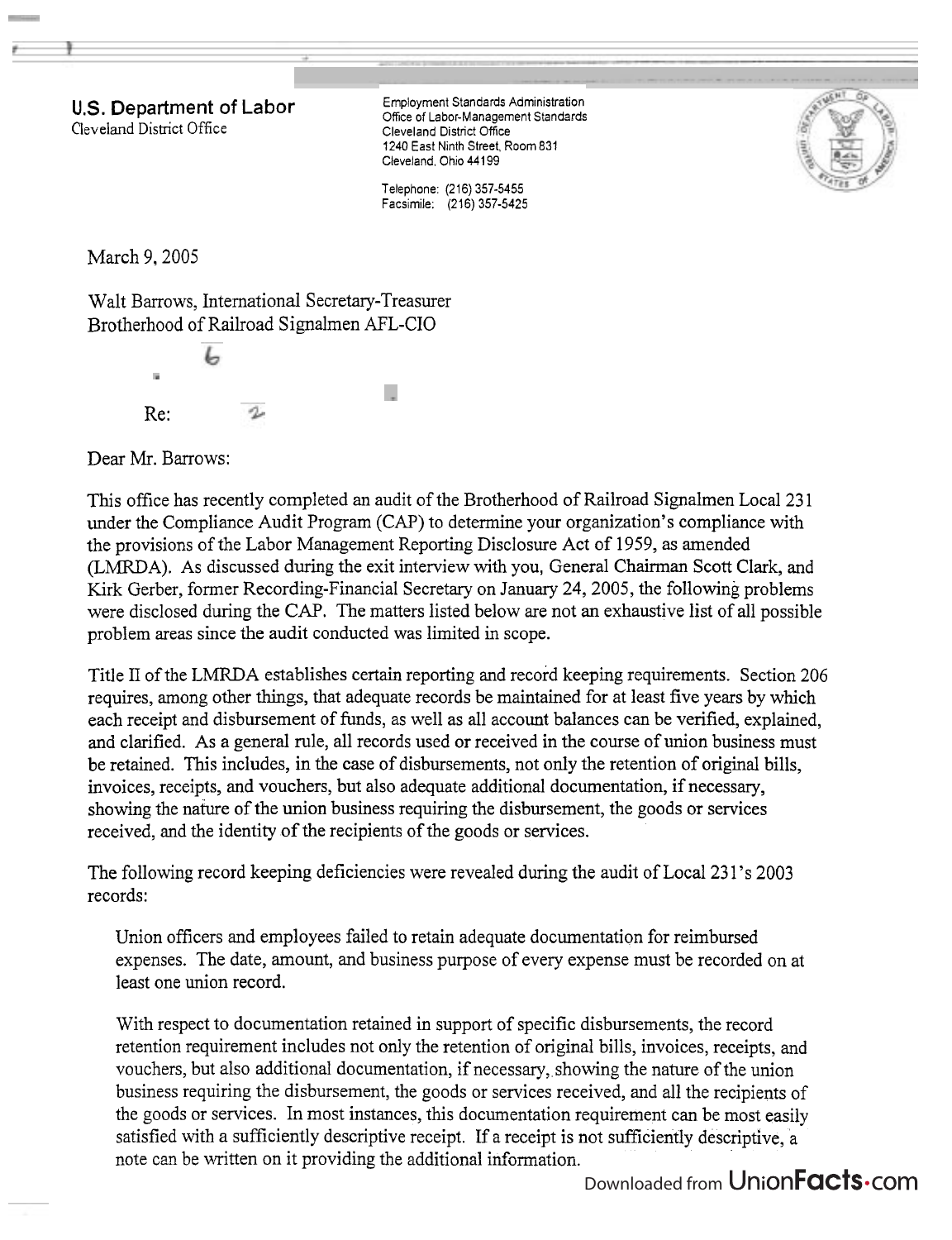**U.S. Department of Labor**  Cleveland District Office

Employment Standards Administration Ofice of Labor-Management Standards Cleveland District Office 1240 East Ninth Street. Room 831 Cleveland, Ohio 44199

Telephone: (216) 357-5455 Facsimile: (216) 357-5425



March 9, 2005

Walt Barrows, International Secretary-Treasurer Brotherhood of Railroad Signalmen AFL-CIO

Re:

Dear Mr. Barrows:

This office has recently completed an audit of the Brotherhood of Railroad Signalmen Local 23 1 under the Compliance Audit Program (CAP) to determine your organization's compliance with the provisions of the Labor Management Reporting Disclosure Act of 1959, as amended (LMRDA). As discussed during the exit interview with you, General Chairman Scott Clark, and Kirk Gerber, former Recording-Financial Secretary on January 24,2005, the following problems were disclosed during the CAP. The matters listed below are not an exhaustive list of all possible problem areas since the audit conducted was limited in scope.

Title ll of the LMRDA establishes certain reporting and record keeping requirements. Section 206 requires, among other things, that adequate records be maintained for at least five years by which each receipt and disbursement of funds, as well as all account balances can be verified, explained, and clarified. As a general rule, all records used or received in the course of union business must be retained. This includes, in the case of disbursements, not only the retention of original bills, invoices, receipts, and vouchers, but also adequate additional documentation, if necessary, showing the nature of the union business requiring the disbursement, the goods or services received, and the identity of the recipients of the goods or services.

The following record keeping deficiencies were revealed during the audit of Local 23 1's 2003 records:

Union officers and employees failed to retain adequate documentation for reimbursed expenses. The date, amount, and business purpose of every expense must be recorded on at least one union record.

With respect to documentation retained in support of specific disbursements, the record retention requirement includes not only the retention of original bills, invoices, receipts, and vouchers, but also additional documentation, if necessary, showing the nature of the union business requiring the disbursement, the goods or services received, and all the recipients of the goods or services. In most instances, this documentation requirement can be most easily satisfied with a sufficiently descriptive receipt. If a receipt is not sufficiently descriptive, a note can be written on it providing the additional information.

Downloaded from UnionFacts.com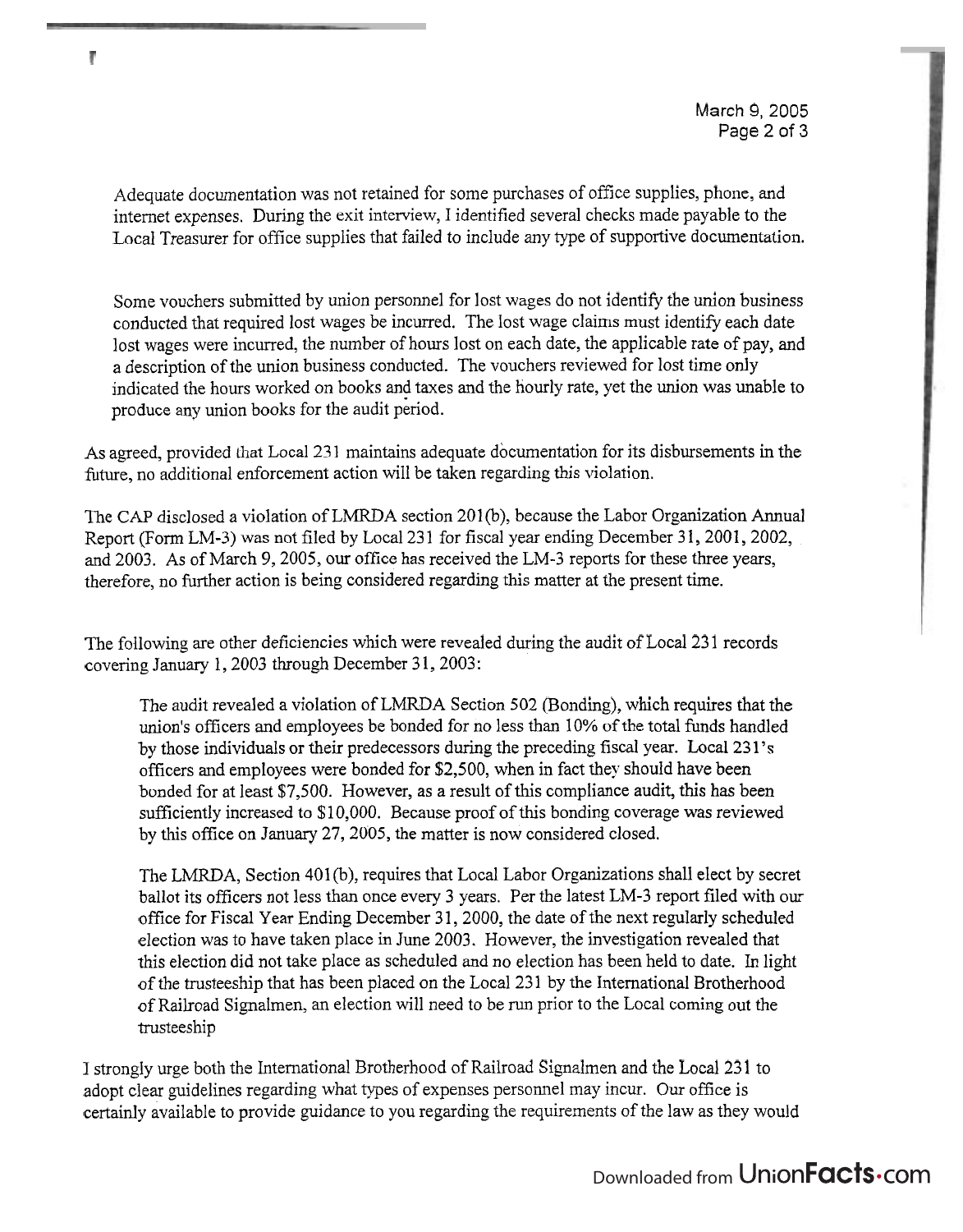Adequate documentation was not retained for some purchases of office supplies, phone, and internet expenses. During the exit interview, I identified several checks made payable to the Local Treasurer for office supplies that failed to include any type of supportive documentation.

Some vouchers submitted by union personnel for lost wages do not identify the union business conducted that required lost wages be incurred. The lost wage claims must identify each date lost wages were incurred, the number of hours lost on each date, the applicable rate of pay, and a description of the union business conducted. The vouchers reviewed for lost time only indicated the hours worked on books and taxes and the hourly rate, yet the union was unable to produce any union books for the audit period.

As agreed, provided that Local 231 maintains adequate documentation for its disbursements in the future, no additional enforcement action will be taken regarding this violation.

The CAP disclosed a violation of LMRDA section 201(b), because the Labor Organization Annual Report (Form LM-3) was not filed by Local 231 for fiscal year ending December 31, 2001, 2002. and 2003. As of March 9,2005, our office **has** received the LM-3 reports for these three years, therefore, no further action is being considered regarding this matter at the present time.

The following are other deficiencies which were revealed during the audit of Local 23 1 records covering January 1, 2003 through December 31, 2003:

The audit revealed a violation of LMRDA Section 502 (Bonding), which requires that the union's officers and employees be bonded for no less than 10% of the total funds handled by those individuals or their predecessors during the preceding fiscal year. Local 23 1's officers and employees were bonded for \$2,500, when in fact they should have been bonded for at least \$7,500. However, as a result of this compliance audit, this has been sufficiently increased to \$10,000. Because proof of this bonding coverage was reviewed by this office on January 27,2005, the matter is now considered closed.

The LMRDA, Section 401 (b), requires that Local Labor Organizations shall elect by secret ballot its officers not less than once every 3 years. Per the latest LM-3 report filed with our office for Fiscal Year Ending December 31, 2000, the date of the next regularly scheduled election was to have taken place in June 2003. However, the investigation revealed that this election did not take place as scheduled and no election has been held to date. In light of the trusteeship that has been placed on the Local 23 1 by the International Brotherhood of Railroad Signalmen, an election will need to be run prior to the Local coming out the trusteeship

I strongly urge both the International Brotherhood of Railroad Signalmen and the Local 23 1 to adopt clear guidelines regarding what types of expenses personnel may incur. Our office is certainly available to provide guidance to you regarding the requirements of the law as they would

## Ŧ